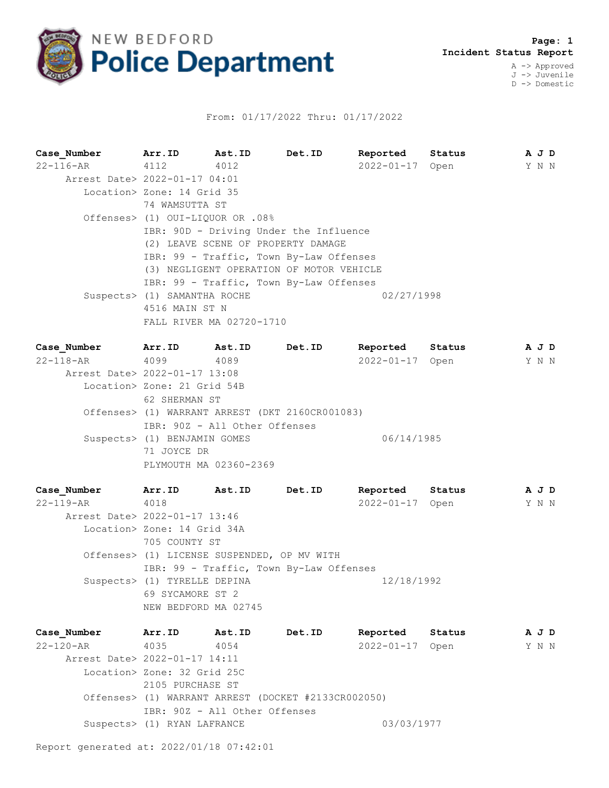

## From: 01/17/2022 Thru: 01/17/2022

**Case\_Number Arr.ID Ast.ID Det.ID Reported Status A J D** 22-116-AR 4112 4012 2022-01-17 Open Y N N Arrest Date> 2022-01-17 04:01 Location> Zone: 14 Grid 35 74 WAMSUTTA ST Offenses> (1) OUI-LIQUOR OR .08% IBR: 90D - Driving Under the Influence (2) LEAVE SCENE OF PROPERTY DAMAGE IBR: 99 - Traffic, Town By-Law Offenses (3) NEGLIGENT OPERATION OF MOTOR VEHICLE IBR: 99 - Traffic, Town By-Law Offenses Suspects> (1) SAMANTHA ROCHE 02/27/1998 4516 MAIN ST N FALL RIVER MA 02720-1710

| Case Number                   | Arr.ID                                          | Ast.ID                        | Det.ID | Reported   | Status |  |  | A J D |
|-------------------------------|-------------------------------------------------|-------------------------------|--------|------------|--------|--|--|-------|
| $22 - 118 - AR$               | 4099                                            | 4089                          |        | 2022-01-17 | Open   |  |  | Y N N |
| Arrest Date> 2022-01-17 13:08 |                                                 |                               |        |            |        |  |  |       |
|                               | Location> Zone: 21 Grid 54B                     |                               |        |            |        |  |  |       |
|                               | 62 SHERMAN ST                                   |                               |        |            |        |  |  |       |
|                               | Offenses> (1) WARRANT ARREST (DKT 2160CR001083) |                               |        |            |        |  |  |       |
|                               |                                                 | IBR: 90Z - All Other Offenses |        |            |        |  |  |       |
|                               | Suspects> (1) BENJAMIN GOMES                    |                               |        | 06/14/1985 |        |  |  |       |
|                               | 71 JOYCE DR                                     |                               |        |            |        |  |  |       |
|                               | PLYMOUTH MA 02360-2369                          |                               |        |            |        |  |  |       |

**Case\_Number Arr.ID Ast.ID Det.ID Reported Status A J D** 22-119-AR 4018 2022-01-17 Open Y N N Arrest Date> 2022-01-17 13:46 Location> Zone: 14 Grid 34A 705 COUNTY ST Offenses> (1) LICENSE SUSPENDED, OP MV WITH IBR: 99 - Traffic, Town By-Law Offenses Suspects> (1) TYRELLE DEPINA 12/18/1992 69 SYCAMORE ST 2 NEW BEDFORD MA 02745

**Case\_Number Arr.ID Ast.ID Det.ID Reported Status A J D** 22-120-AR 4035 4054 2022-01-17 Open Y N N Arrest Date> 2022-01-17 14:11 Location> Zone: 32 Grid 25C 2105 PURCHASE ST Offenses> (1) WARRANT ARREST (DOCKET #2133CR002050) IBR: 90Z - All Other Offenses Suspects> (1) RYAN LAFRANCE 03/03/1977